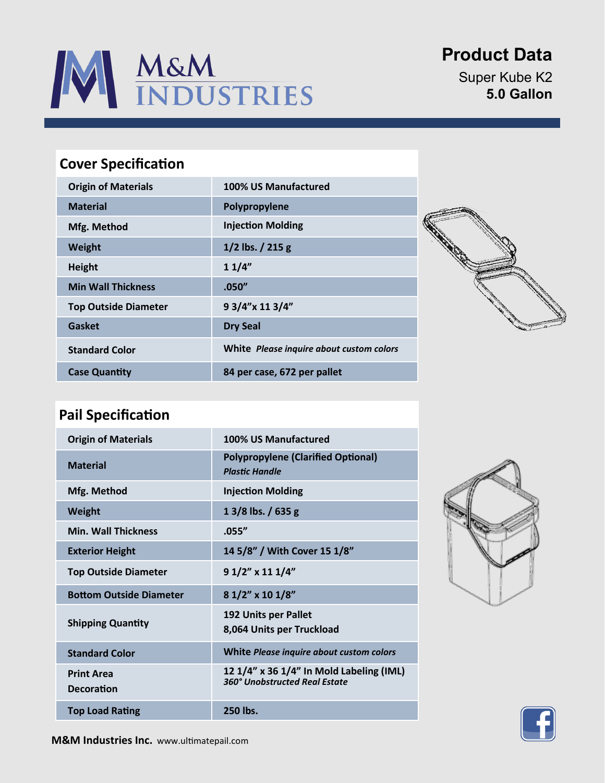

# **Product Data**

Super Kube K2 **5.0 Gallon**

### **Cover Specification**

| <b>Origin of Materials</b>  | 100% US Manufactured                     |
|-----------------------------|------------------------------------------|
| <b>Material</b>             | Polypropylene                            |
| Mfg. Method                 | <b>Injection Molding</b>                 |
| Weight                      | $1/2$ lbs. $/215$ g                      |
| <b>Height</b>               | 11/4"                                    |
| <b>Min Wall Thickness</b>   | .050''                                   |
| <b>Top Outside Diameter</b> | 9 3/4"x 11 3/4"                          |
| Gasket                      | <b>Dry Seal</b>                          |
| <b>Standard Color</b>       | White Please inquire about custom colors |
| <b>Case Quantity</b>        | 84 per case, 672 per pallet              |



### **Pail Specification**

| <b>Origin of Materials</b>             | 100% US Manufactured                                                      |
|----------------------------------------|---------------------------------------------------------------------------|
| <b>Material</b>                        | <b>Polypropylene (Clarified Optional)</b><br><b>Plastic Handle</b>        |
| Mfg. Method                            | <b>Injection Molding</b>                                                  |
| Weight                                 | $13/8$ lbs. / 635 g                                                       |
| <b>Min. Wall Thickness</b>             | .055''                                                                    |
| <b>Exterior Height</b>                 | 14 5/8" / With Cover 15 1/8"                                              |
| <b>Top Outside Diameter</b>            | $91/2$ " x 11 $1/4$ "                                                     |
| <b>Bottom Outside Diameter</b>         | 8 1/2" x 10 1/8"                                                          |
| <b>Shipping Quantity</b>               | 192 Units per Pallet<br>8,064 Units per Truckload                         |
| <b>Standard Color</b>                  | White Please inquire about custom colors                                  |
| <b>Print Area</b><br><b>Decoration</b> | 12 1/4" x 36 1/4" In Mold Labeling (IML)<br>360° Unobstructed Real Estate |
| <b>Top Load Rating</b>                 | 250 lbs.                                                                  |